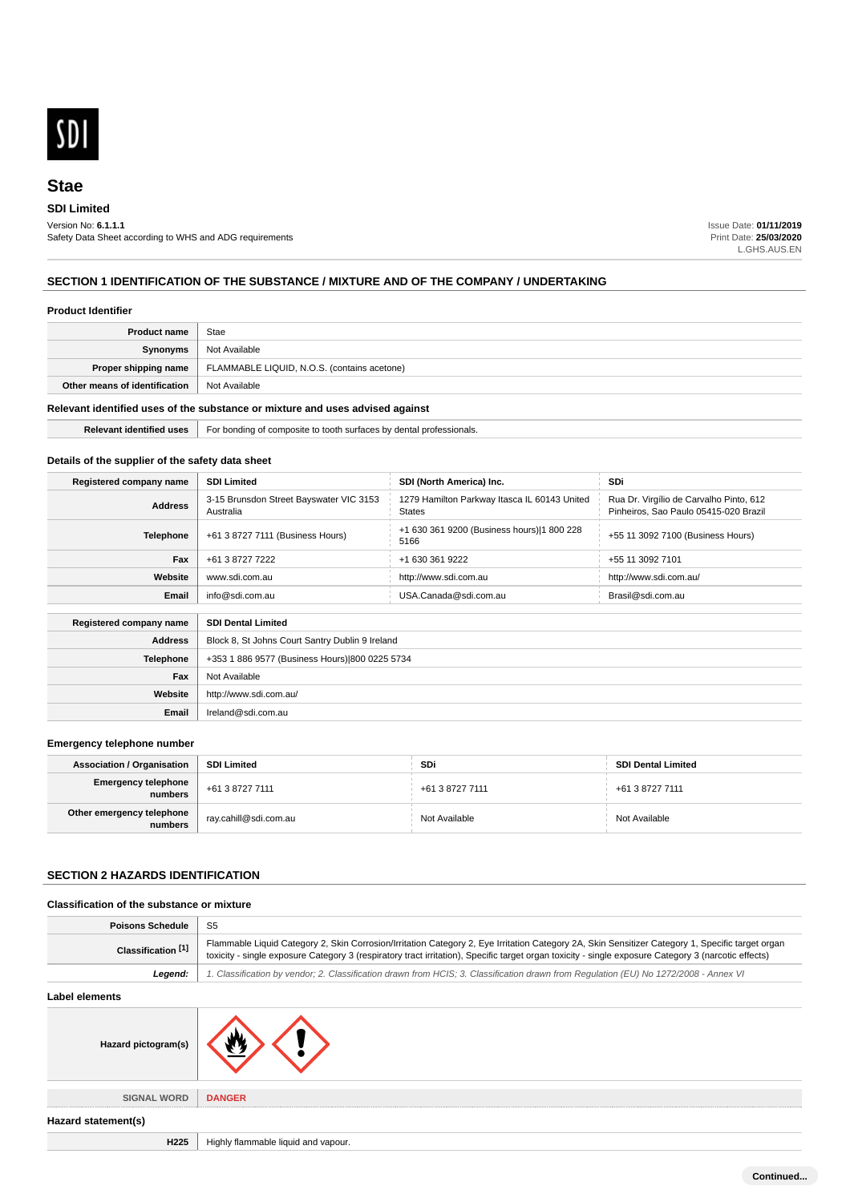

## **SDI Limited**

Version No: **6.1.1.1** Safety Data Sheet according to WHS and ADG requirements Issue Date: **01/11/2019** Print Date: **25/03/2020** L.GHS.AUS.EN

# **SECTION 1 IDENTIFICATION OF THE SUBSTANCE / MIXTURE AND OF THE COMPANY / UNDERTAKING**

#### **Product Identifier**

| <b>Product name</b>                                                           | Stae                                        |
|-------------------------------------------------------------------------------|---------------------------------------------|
| Synonyms                                                                      | Not Available                               |
| Proper shipping name                                                          | FLAMMABLE LIQUID, N.O.S. (contains acetone) |
| Other means of identification                                                 | Not Available                               |
| Relevant identified uses of the substance or mixture and uses advised against |                                             |

# **Relevant identified uses** For bonding of composite to tooth surfaces by dental professionals.

# **Details of the supplier of the safety data sheet**

| Registered company name | <b>SDI Limited</b>                                   | SDI (North America) Inc.                                      | SDi                                                                              |
|-------------------------|------------------------------------------------------|---------------------------------------------------------------|----------------------------------------------------------------------------------|
| <b>Address</b>          | 3-15 Brunsdon Street Bayswater VIC 3153<br>Australia | 1279 Hamilton Parkway Itasca IL 60143 United<br><b>States</b> | Rua Dr. Virgílio de Carvalho Pinto, 612<br>Pinheiros, Sao Paulo 05415-020 Brazil |
| <b>Telephone</b>        | +61 3 8727 7111 (Business Hours)                     | +1 630 361 9200 (Business hours) 1 800 228<br>5166            | +55 11 3092 7100 (Business Hours)                                                |
| Fax                     | +61 3 8727 7222                                      | +1 630 361 9222                                               | +55 11 3092 7101                                                                 |
| Website                 | www.sdi.com.au                                       | http://www.sdi.com.au                                         | http://www.sdi.com.au/                                                           |
| Email                   | info@sdi.com.au                                      | USA.Canada@sdi.com.au                                         | Brasil@sdi.com.au                                                                |
| Registered company name | <b>SDI Dental Limited</b>                            |                                                               |                                                                                  |
| <b>Address</b>          | Block 8, St Johns Court Santry Dublin 9 Ireland      |                                                               |                                                                                  |
| <b>Telephone</b>        | +353 1 886 9577 (Business Hours) 800 0225 5734       |                                                               |                                                                                  |
| Fax                     | Not Available                                        |                                                               |                                                                                  |
| Website                 | http://www.sdi.com.au/                               |                                                               |                                                                                  |
| Email                   | Ireland@sdi.com.au                                   |                                                               |                                                                                  |

#### **Emergency telephone number**

| <b>Association / Organisation</b>    | <b>SDI Limited</b>    | SDi             | <b>SDI Dental Limited</b> |
|--------------------------------------|-----------------------|-----------------|---------------------------|
| Emergency telephone<br>numbers       | +61 3 8727 7111       | +61 3 8727 7111 | +61 3 8727 7111           |
| Other emergency telephone<br>numbers | ray.cahill@sdi.com.au | Not Available   | Not Available             |

# **SECTION 2 HAZARDS IDENTIFICATION**

#### **Classification of the substance or mixture**

| <b>Poisons Schedule</b> | -S5                                                                                                                                                                                                                                                                                                      |
|-------------------------|----------------------------------------------------------------------------------------------------------------------------------------------------------------------------------------------------------------------------------------------------------------------------------------------------------|
| Classification [1]      | Flammable Liquid Category 2, Skin Corrosion/Irritation Category 2, Eye Irritation Category 2A, Skin Sensitizer Category 1, Specific target organ<br>toxicity - single exposure Category 3 (respiratory tract irritation), Specific target organ toxicity - single exposure Category 3 (narcotic effects) |
| Leaend:                 | 1. Classification by vendor; 2. Classification drawn from HCIS; 3. Classification drawn from Requlation (EU) No 1272/2008 - Annex VI                                                                                                                                                                     |

#### **Label elements**



**Hazard statement(s)**

**H225** Highly flammable liquid and vapour.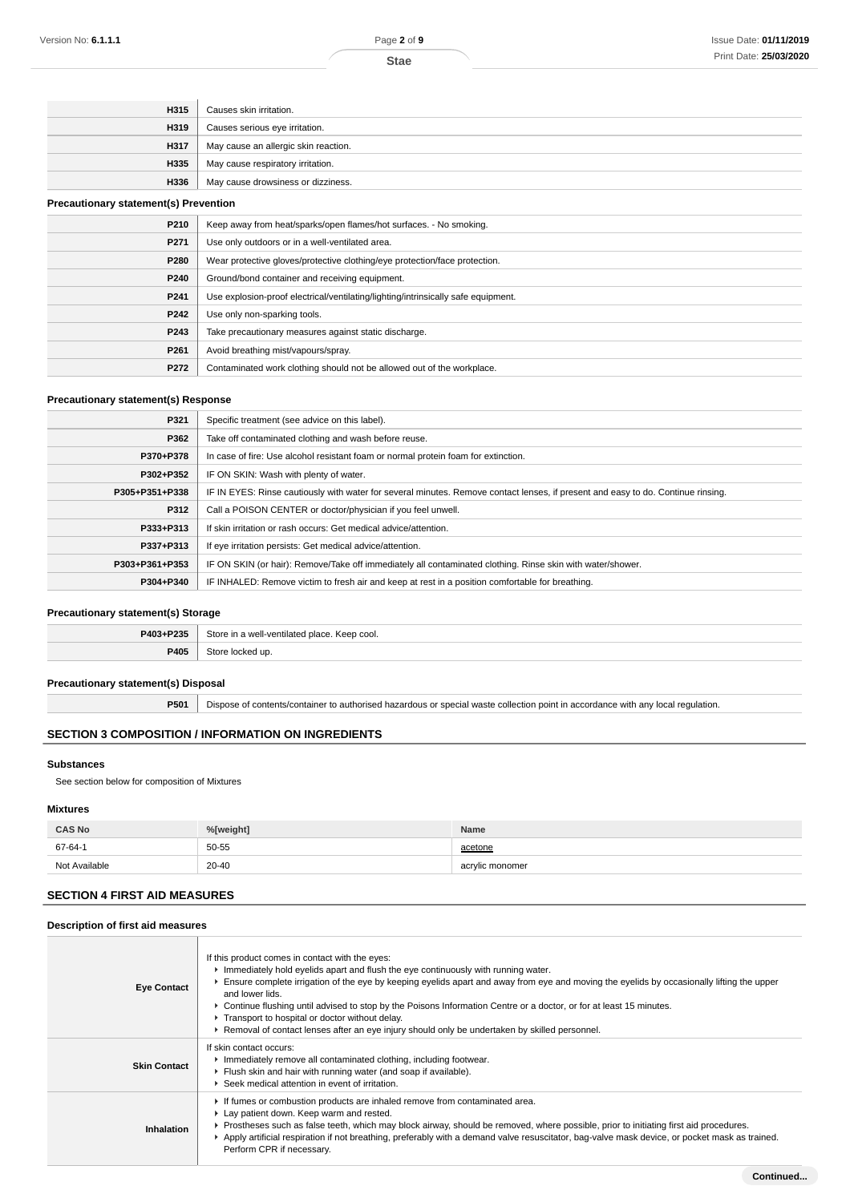| H315 | Causes skin irritation.              |
|------|--------------------------------------|
| H319 | Causes serious eye irritation.       |
| H317 | May cause an allergic skin reaction. |
| H335 | May cause respiratory irritation.    |
| H336 | May cause drowsiness or dizziness.   |
|      |                                      |

#### **Precautionary statement(s) Prevention**

| P210             | Keep away from heat/sparks/open flames/hot surfaces. - No smoking.                |
|------------------|-----------------------------------------------------------------------------------|
| P271             | Use only outdoors or in a well-ventilated area.                                   |
| P280             | Wear protective gloves/protective clothing/eye protection/face protection.        |
| P240             | Ground/bond container and receiving equipment.                                    |
| P <sub>241</sub> | Use explosion-proof electrical/ventilating/lighting/intrinsically safe equipment. |
| P242             | Use only non-sparking tools.                                                      |
| P243             | Take precautionary measures against static discharge.                             |
| P <sub>261</sub> | Avoid breathing mist/vapours/spray.                                               |
| P272             | Contaminated work clothing should not be allowed out of the workplace.            |

### **Precautionary statement(s) Response**

| P321           | Specific treatment (see advice on this label).                                                                                   |
|----------------|----------------------------------------------------------------------------------------------------------------------------------|
| P362           | Take off contaminated clothing and wash before reuse.                                                                            |
| P370+P378      | In case of fire: Use alcohol resistant foam or normal protein foam for extinction.                                               |
| P302+P352      | IF ON SKIN: Wash with plenty of water.                                                                                           |
| P305+P351+P338 | IF IN EYES: Rinse cautiously with water for several minutes. Remove contact lenses, if present and easy to do. Continue rinsing. |
| P312           | Call a POISON CENTER or doctor/physician if you feel unwell.                                                                     |
| P333+P313      | If skin irritation or rash occurs: Get medical advice/attention.                                                                 |
| P337+P313      | If eye irritation persists: Get medical advice/attention.                                                                        |
| P303+P361+P353 | IF ON SKIN (or hair): Remove/Take off immediately all contaminated clothing. Rinse skin with water/shower.                       |
| P304+P340      | IF INHALED: Remove victim to fresh air and keep at rest in a position comfortable for breathing.                                 |

### **Precautionary statement(s) Storage**

| <b>DA02.D225</b> | Store<br>u well-ventilated place<br>cool.<br>ın.<br>Keep<br>. |
|------------------|---------------------------------------------------------------|
| P405             | ™**∩r<br>$\sqrt{2}$<br>.                                      |

# **Precautionary statement(s) Disposal**

**P501** Dispose of contents/container to authorised hazardous or special waste collection point in accordance with any local regulation.

# **SECTION 3 COMPOSITION / INFORMATION ON INGREDIENTS**

#### **Substances**

See section below for composition of Mixtures

#### **Mixtures**

| <b>CAS No</b> | %[weight] | Name            |
|---------------|-----------|-----------------|
| 67-64-1       | 50-55     | acetone         |
| Not Available | $20 - 40$ | acrylic monomer |

# **SECTION 4 FIRST AID MEASURES**

**Description of first aid measures**

| <b>Eye Contact</b>  | If this product comes in contact with the eyes:<br>Immediately hold eyelids apart and flush the eye continuously with running water.<br>Ensure complete irrigation of the eye by keeping eyelids apart and away from eye and moving the eyelids by occasionally lifting the upper<br>and lower lids.<br>▶ Continue flushing until advised to stop by the Poisons Information Centre or a doctor, or for at least 15 minutes.<br>Transport to hospital or doctor without delay.<br>► Removal of contact lenses after an eye injury should only be undertaken by skilled personnel. |
|---------------------|-----------------------------------------------------------------------------------------------------------------------------------------------------------------------------------------------------------------------------------------------------------------------------------------------------------------------------------------------------------------------------------------------------------------------------------------------------------------------------------------------------------------------------------------------------------------------------------|
| <b>Skin Contact</b> | If skin contact occurs:<br>Inmediately remove all contaminated clothing, including footwear.<br>Flush skin and hair with running water (and soap if available).<br>▶ Seek medical attention in event of irritation.                                                                                                                                                                                                                                                                                                                                                               |
| Inhalation          | If fumes or combustion products are inhaled remove from contaminated area.<br>Lay patient down. Keep warm and rested.<br>▶ Prostheses such as false teeth, which may block airway, should be removed, where possible, prior to initiating first aid procedures.<br>Apply artificial respiration if not breathing, preferably with a demand valve resuscitator, bag-valve mask device, or pocket mask as trained.<br>Perform CPR if necessary.                                                                                                                                     |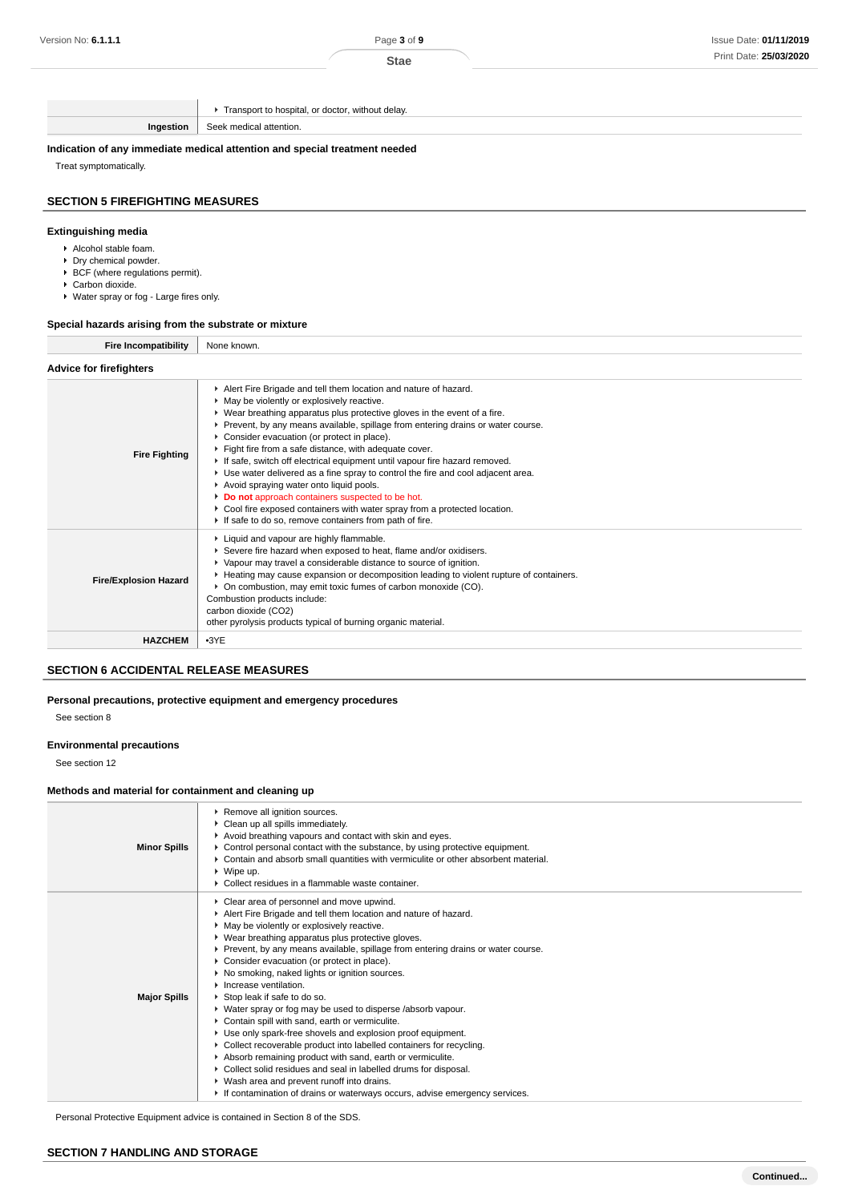|           | Transport to hospital, or doctor, without delay. |
|-----------|--------------------------------------------------|
| Ingestion | Seek medical attention.                          |
|           |                                                  |

**Indication of any immediate medical attention and special treatment needed**

Treat symptomatically.

## **SECTION 5 FIREFIGHTING MEASURES**

### **Extinguishing media**

- Alcohol stable foam.
- ▶ Dry chemical powder.
- $\triangleright$  BCF (where regulations permit). ▶ Carbon dioxide.
- Water spray or fog Large fires only.

#### **Special hazards arising from the substrate or mixture**

| <b>Fire Incompatibility</b>    | None known.                                                                                                                                                                                                                                                                                                                                                                                                                                                                                                                                                                                                                                                                                                                                                                                  |  |
|--------------------------------|----------------------------------------------------------------------------------------------------------------------------------------------------------------------------------------------------------------------------------------------------------------------------------------------------------------------------------------------------------------------------------------------------------------------------------------------------------------------------------------------------------------------------------------------------------------------------------------------------------------------------------------------------------------------------------------------------------------------------------------------------------------------------------------------|--|
| <b>Advice for firefighters</b> |                                                                                                                                                                                                                                                                                                                                                                                                                                                                                                                                                                                                                                                                                                                                                                                              |  |
| <b>Fire Fighting</b>           | Alert Fire Brigade and tell them location and nature of hazard.<br>May be violently or explosively reactive.<br>▶ Wear breathing apparatus plus protective gloves in the event of a fire.<br>▶ Prevent, by any means available, spillage from entering drains or water course.<br>Consider evacuation (or protect in place).<br>Fight fire from a safe distance, with adequate cover.<br>If safe, switch off electrical equipment until vapour fire hazard removed.<br>► Use water delivered as a fine spray to control the fire and cool adjacent area.<br>Avoid spraying water onto liquid pools.<br>Do not approach containers suspected to be hot.<br>Cool fire exposed containers with water spray from a protected location.<br>If safe to do so, remove containers from path of fire. |  |
| <b>Fire/Explosion Hazard</b>   | Liquid and vapour are highly flammable.<br>Severe fire hazard when exposed to heat, flame and/or oxidisers.<br>▶ Vapour may travel a considerable distance to source of ignition.<br>► Heating may cause expansion or decomposition leading to violent rupture of containers.<br>• On combustion, may emit toxic fumes of carbon monoxide (CO).<br>Combustion products include:<br>carbon dioxide (CO2)<br>other pyrolysis products typical of burning organic material.                                                                                                                                                                                                                                                                                                                     |  |
| <b>HAZCHEM</b>                 | $-3YE$                                                                                                                                                                                                                                                                                                                                                                                                                                                                                                                                                                                                                                                                                                                                                                                       |  |

# **SECTION 6 ACCIDENTAL RELEASE MEASURES**

**Personal precautions, protective equipment and emergency procedures**

See section 8

#### **Environmental precautions**

See section 12

# **Methods and material for containment and cleaning up**

| <b>Minor Spills</b> | Remove all ignition sources.<br>Clean up all spills immediately.<br>Avoid breathing vapours and contact with skin and eyes.<br>► Control personal contact with the substance, by using protective equipment.<br>▶ Contain and absorb small quantities with vermiculite or other absorbent material.<br>$\triangleright$ Wipe up.<br>• Collect residues in a flammable waste container.                                                                                                                                                                                                                                                                                                                                                                                                                                                                                                                                                                                                                     |
|---------------------|------------------------------------------------------------------------------------------------------------------------------------------------------------------------------------------------------------------------------------------------------------------------------------------------------------------------------------------------------------------------------------------------------------------------------------------------------------------------------------------------------------------------------------------------------------------------------------------------------------------------------------------------------------------------------------------------------------------------------------------------------------------------------------------------------------------------------------------------------------------------------------------------------------------------------------------------------------------------------------------------------------|
| <b>Major Spills</b> | Clear area of personnel and move upwind.<br>Alert Fire Brigade and tell them location and nature of hazard.<br>May be violently or explosively reactive.<br>▶ Wear breathing apparatus plus protective gloves.<br>▶ Prevent, by any means available, spillage from entering drains or water course.<br>Consider evacuation (or protect in place).<br>▶ No smoking, naked lights or ignition sources.<br>$\blacktriangleright$ Increase ventilation.<br>▶ Stop leak if safe to do so.<br>• Water spray or fog may be used to disperse /absorb vapour.<br>Contain spill with sand, earth or vermiculite.<br>Use only spark-free shovels and explosion proof equipment.<br>• Collect recoverable product into labelled containers for recycling.<br>Absorb remaining product with sand, earth or vermiculite.<br>Collect solid residues and seal in labelled drums for disposal.<br>▶ Wash area and prevent runoff into drains.<br>If contamination of drains or waterways occurs, advise emergency services. |

Personal Protective Equipment advice is contained in Section 8 of the SDS.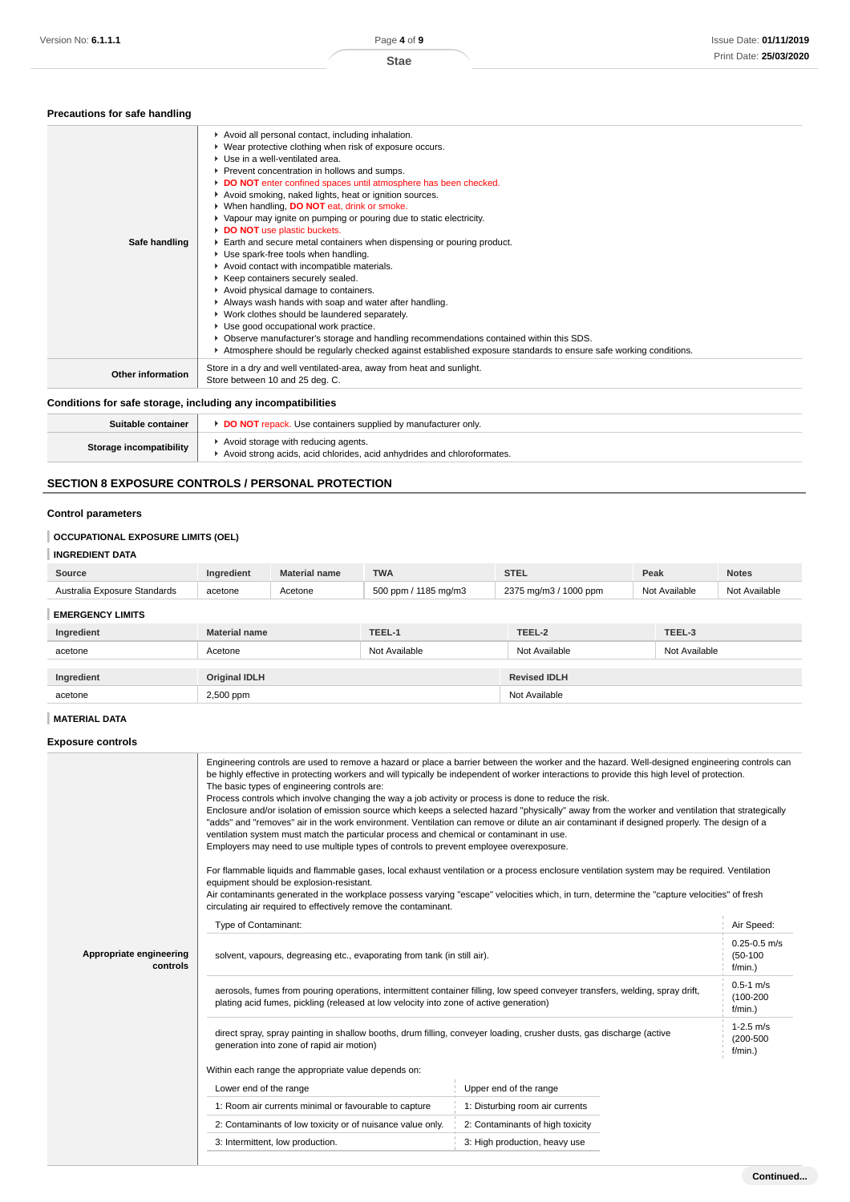### **Precautions for safe handling**

| Safe handling            | Avoid all personal contact, including inhalation.<br>▶ Wear protective clothing when risk of exposure occurs.<br>▶ Use in a well-ventilated area.<br>Prevent concentration in hollows and sumps.<br>DO NOT enter confined spaces until atmosphere has been checked.<br>Avoid smoking, naked lights, heat or ignition sources.<br>▶ When handling, DO NOT eat, drink or smoke.<br>▶ Vapour may ignite on pumping or pouring due to static electricity.<br>DO NOT use plastic buckets.<br>Earth and secure metal containers when dispensing or pouring product.<br>Use spark-free tools when handling.<br>Avoid contact with incompatible materials.<br>▶ Keep containers securely sealed.<br>Avoid physical damage to containers.<br>Always wash hands with soap and water after handling.<br>▶ Work clothes should be laundered separately.<br>Use good occupational work practice.<br>▶ Observe manufacturer's storage and handling recommendations contained within this SDS.<br>Atmosphere should be regularly checked against established exposure standards to ensure safe working conditions. |
|--------------------------|-----------------------------------------------------------------------------------------------------------------------------------------------------------------------------------------------------------------------------------------------------------------------------------------------------------------------------------------------------------------------------------------------------------------------------------------------------------------------------------------------------------------------------------------------------------------------------------------------------------------------------------------------------------------------------------------------------------------------------------------------------------------------------------------------------------------------------------------------------------------------------------------------------------------------------------------------------------------------------------------------------------------------------------------------------------------------------------------------------|
| <b>Other information</b> | Store in a dry and well ventilated-area, away from heat and sunlight.<br>Store between 10 and 25 deg. C.                                                                                                                                                                                                                                                                                                                                                                                                                                                                                                                                                                                                                                                                                                                                                                                                                                                                                                                                                                                            |

# **Conditions for safe storage, including any incompatibilities**

| Suitable container             | <b>DO NOT</b> repack. Use containers supplied by manufacturer only.                                            |
|--------------------------------|----------------------------------------------------------------------------------------------------------------|
| <b>Storage incompatibility</b> | Avoid storage with reducing agents.<br>Avoid strong acids, acid chlorides, acid anhydrides and chloroformates. |

# **SECTION 8 EXPOSURE CONTROLS / PERSONAL PROTECTION**

#### **Control parameters**

# **OCCUPATIONAL EXPOSURE LIMITS (OEL)**

# **INGREDIENT DATA**

| Source                             | Inaredient   | name   | <b>TWA</b>                     | <b>CTE</b><br>$-91$ by        | Peak            | Notes         |
|------------------------------------|--------------|--------|--------------------------------|-------------------------------|-----------------|---------------|
| Standards<br>Australia<br>-xposure | acetone<br>. | ≏etone | 500<br>ັma/m໌ ຈ<br>) ppm<br>10 | つつフに<br>1000 ppm<br>$\mod{m}$ | Available<br>NM | Not Available |

**EMERGENCY LIMITS**

| Ingredient | <b>Material name</b> | TEEL-1        | TEEL-2              | TEEL-3        |
|------------|----------------------|---------------|---------------------|---------------|
| acetone    | Acetone              | Not Available | Not Available       | Not Available |
|            |                      |               |                     |               |
| Ingredient | <b>Original IDLH</b> |               | <b>Revised IDLH</b> |               |
| acetone    | 2,500 ppm            |               | Not Available       |               |

# **MATERIAL DATA**

# **Exposure controls**

|                                     | Engineering controls are used to remove a hazard or place a barrier between the worker and the hazard. Well-designed engineering controls can<br>be highly effective in protecting workers and will typically be independent of worker interactions to provide this high level of protection.<br>The basic types of engineering controls are:<br>Process controls which involve changing the way a job activity or process is done to reduce the risk.<br>Enclosure and/or isolation of emission source which keeps a selected hazard "physically" away from the worker and ventilation that strategically<br>"adds" and "removes" air in the work environment. Ventilation can remove or dilute an air contaminant if designed properly. The design of a<br>ventilation system must match the particular process and chemical or contaminant in use.<br>Employers may need to use multiple types of controls to prevent employee overexposure.<br>For flammable liquids and flammable gases, local exhaust ventilation or a process enclosure ventilation system may be required. Ventilation<br>equipment should be explosion-resistant.<br>Air contaminants generated in the workplace possess varying "escape" velocities which, in turn, determine the "capture velocities" of fresh<br>circulating air required to effectively remove the contaminant. |                                  |  |  |  |
|-------------------------------------|--------------------------------------------------------------------------------------------------------------------------------------------------------------------------------------------------------------------------------------------------------------------------------------------------------------------------------------------------------------------------------------------------------------------------------------------------------------------------------------------------------------------------------------------------------------------------------------------------------------------------------------------------------------------------------------------------------------------------------------------------------------------------------------------------------------------------------------------------------------------------------------------------------------------------------------------------------------------------------------------------------------------------------------------------------------------------------------------------------------------------------------------------------------------------------------------------------------------------------------------------------------------------------------------------------------------------------------------------------------|----------------------------------|--|--|--|
|                                     | Type of Contaminant:                                                                                                                                                                                                                                                                                                                                                                                                                                                                                                                                                                                                                                                                                                                                                                                                                                                                                                                                                                                                                                                                                                                                                                                                                                                                                                                                         |                                  |  |  |  |
| Appropriate engineering<br>controls | solvent, vapours, degreasing etc., evaporating from tank (in still air).                                                                                                                                                                                                                                                                                                                                                                                                                                                                                                                                                                                                                                                                                                                                                                                                                                                                                                                                                                                                                                                                                                                                                                                                                                                                                     |                                  |  |  |  |
|                                     | aerosols, fumes from pouring operations, intermittent container filling, low speed conveyer transfers, welding, spray drift,<br>plating acid fumes, pickling (released at low velocity into zone of active generation)                                                                                                                                                                                                                                                                                                                                                                                                                                                                                                                                                                                                                                                                                                                                                                                                                                                                                                                                                                                                                                                                                                                                       |                                  |  |  |  |
|                                     | direct spray, spray painting in shallow booths, drum filling, conveyer loading, crusher dusts, gas discharge (active<br>generation into zone of rapid air motion)                                                                                                                                                                                                                                                                                                                                                                                                                                                                                                                                                                                                                                                                                                                                                                                                                                                                                                                                                                                                                                                                                                                                                                                            |                                  |  |  |  |
|                                     | Within each range the appropriate value depends on:                                                                                                                                                                                                                                                                                                                                                                                                                                                                                                                                                                                                                                                                                                                                                                                                                                                                                                                                                                                                                                                                                                                                                                                                                                                                                                          |                                  |  |  |  |
|                                     | Lower end of the range                                                                                                                                                                                                                                                                                                                                                                                                                                                                                                                                                                                                                                                                                                                                                                                                                                                                                                                                                                                                                                                                                                                                                                                                                                                                                                                                       | Upper end of the range           |  |  |  |
|                                     | 1: Room air currents minimal or favourable to capture                                                                                                                                                                                                                                                                                                                                                                                                                                                                                                                                                                                                                                                                                                                                                                                                                                                                                                                                                                                                                                                                                                                                                                                                                                                                                                        | 1: Disturbing room air currents  |  |  |  |
|                                     | 2: Contaminants of low toxicity or of nuisance value only.                                                                                                                                                                                                                                                                                                                                                                                                                                                                                                                                                                                                                                                                                                                                                                                                                                                                                                                                                                                                                                                                                                                                                                                                                                                                                                   | 2: Contaminants of high toxicity |  |  |  |
|                                     | 3: Intermittent, low production.                                                                                                                                                                                                                                                                                                                                                                                                                                                                                                                                                                                                                                                                                                                                                                                                                                                                                                                                                                                                                                                                                                                                                                                                                                                                                                                             | 3: High production, heavy use    |  |  |  |
|                                     |                                                                                                                                                                                                                                                                                                                                                                                                                                                                                                                                                                                                                                                                                                                                                                                                                                                                                                                                                                                                                                                                                                                                                                                                                                                                                                                                                              |                                  |  |  |  |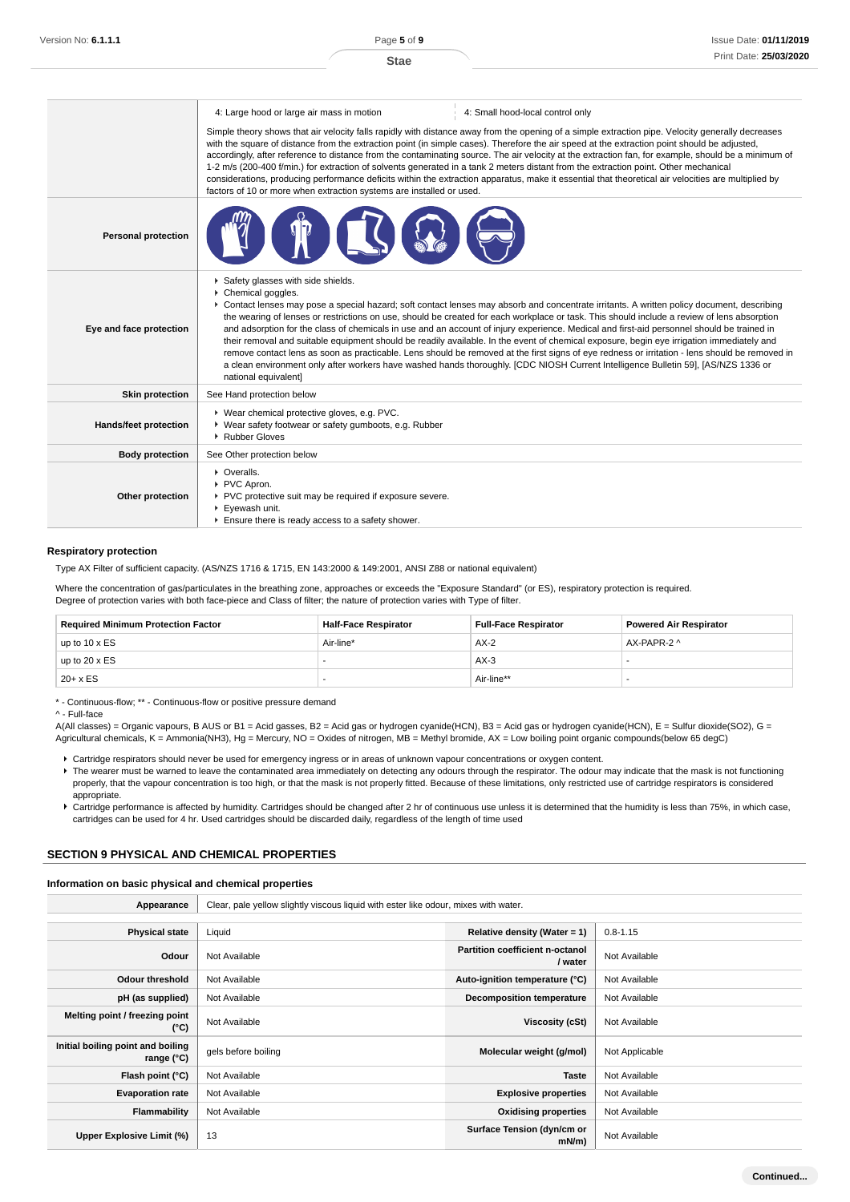|                              | 4: Small hood-local control only<br>4: Large hood or large air mass in motion<br>Simple theory shows that air velocity falls rapidly with distance away from the opening of a simple extraction pipe. Velocity generally decreases<br>with the square of distance from the extraction point (in simple cases). Therefore the air speed at the extraction point should be adjusted,<br>accordingly, after reference to distance from the contaminating source. The air velocity at the extraction fan, for example, should be a minimum of<br>1-2 m/s (200-400 f/min.) for extraction of solvents generated in a tank 2 meters distant from the extraction point. Other mechanical<br>considerations, producing performance deficits within the extraction apparatus, make it essential that theoretical air velocities are multiplied by<br>factors of 10 or more when extraction systems are installed or used.                                                |  |  |  |
|------------------------------|-----------------------------------------------------------------------------------------------------------------------------------------------------------------------------------------------------------------------------------------------------------------------------------------------------------------------------------------------------------------------------------------------------------------------------------------------------------------------------------------------------------------------------------------------------------------------------------------------------------------------------------------------------------------------------------------------------------------------------------------------------------------------------------------------------------------------------------------------------------------------------------------------------------------------------------------------------------------|--|--|--|
| <b>Personal protection</b>   |                                                                                                                                                                                                                                                                                                                                                                                                                                                                                                                                                                                                                                                                                                                                                                                                                                                                                                                                                                 |  |  |  |
| Eye and face protection      | Safety glasses with side shields.<br>Chemical goggles.<br>▶ Contact lenses may pose a special hazard; soft contact lenses may absorb and concentrate irritants. A written policy document, describing<br>the wearing of lenses or restrictions on use, should be created for each workplace or task. This should include a review of lens absorption<br>and adsorption for the class of chemicals in use and an account of injury experience. Medical and first-aid personnel should be trained in<br>their removal and suitable equipment should be readily available. In the event of chemical exposure, begin eye irrigation immediately and<br>remove contact lens as soon as practicable. Lens should be removed at the first signs of eye redness or irritation - lens should be removed in<br>a clean environment only after workers have washed hands thoroughly. [CDC NIOSH Current Intelligence Bulletin 59], [AS/NZS 1336 or<br>national equivalent] |  |  |  |
| <b>Skin protection</b>       | See Hand protection below                                                                                                                                                                                                                                                                                                                                                                                                                                                                                                                                                                                                                                                                                                                                                                                                                                                                                                                                       |  |  |  |
| <b>Hands/feet protection</b> | ▶ Wear chemical protective gloves, e.g. PVC.<br>▶ Wear safety footwear or safety gumboots, e.g. Rubber<br>Rubber Gloves                                                                                                                                                                                                                                                                                                                                                                                                                                                                                                                                                                                                                                                                                                                                                                                                                                         |  |  |  |
| <b>Body protection</b>       | See Other protection below                                                                                                                                                                                                                                                                                                                                                                                                                                                                                                                                                                                                                                                                                                                                                                                                                                                                                                                                      |  |  |  |
| Other protection             | • Overalls.<br>PVC Apron.<br>PVC protective suit may be required if exposure severe.<br>▶ Eyewash unit.<br>Ensure there is ready access to a safety shower.                                                                                                                                                                                                                                                                                                                                                                                                                                                                                                                                                                                                                                                                                                                                                                                                     |  |  |  |

#### **Respiratory protection**

Type AX Filter of sufficient capacity. (AS/NZS 1716 & 1715, EN 143:2000 & 149:2001, ANSI Z88 or national equivalent)

Where the concentration of gas/particulates in the breathing zone, approaches or exceeds the "Exposure Standard" (or ES), respiratory protection is required. Degree of protection varies with both face-piece and Class of filter; the nature of protection varies with Type of filter.

| <b>Required Minimum Protection Factor</b> | <b>Half-Face Respirator</b> | <b>Full-Face Respirator</b> | <b>Powered Air Respirator</b> |
|-------------------------------------------|-----------------------------|-----------------------------|-------------------------------|
| up to $10 \times ES$                      | Air-line*                   | $AX-2$                      | AX-PAPR-2 ^                   |
| up to $20 \times ES$                      |                             | $AX-3$                      |                               |
| $20+ x ES$                                |                             | Air-line**                  |                               |

\* - Continuous-flow; \*\* - Continuous-flow or positive pressure demand

^ - Full-face

A(All classes) = Organic vapours, B AUS or B1 = Acid gasses, B2 = Acid gas or hydrogen cyanide(HCN), B3 = Acid gas or hydrogen cyanide(HCN), E = Sulfur dioxide(SO2), G = Agricultural chemicals, K = Ammonia(NH3), Hg = Mercury, NO = Oxides of nitrogen, MB = Methyl bromide, AX = Low boiling point organic compounds(below 65 degC)

- Cartridge respirators should never be used for emergency ingress or in areas of unknown vapour concentrations or oxygen content.
- F The wearer must be warned to leave the contaminated area immediately on detecting any odours through the respirator. The odour may indicate that the mask is not functioning properly, that the vapour concentration is too high, or that the mask is not properly fitted. Because of these limitations, only restricted use of cartridge respirators is considered appropriate.
- Cartridge performance is affected by humidity. Cartridges should be changed after 2 hr of continuous use unless it is determined that the humidity is less than 75%, in which case, cartridges can be used for 4 hr. Used cartridges should be discarded daily, regardless of the length of time used

#### **SECTION 9 PHYSICAL AND CHEMICAL PROPERTIES**

### **Information on basic physical and chemical properties**

| Appearance                                      | Clear, pale yellow slightly viscous liquid with ester like odour, mixes with water. |                                                   |                |
|-------------------------------------------------|-------------------------------------------------------------------------------------|---------------------------------------------------|----------------|
| <b>Physical state</b>                           | Liquid                                                                              | Relative density (Water = $1$ )                   | $0.8 - 1.15$   |
| Odour                                           | Not Available                                                                       | <b>Partition coefficient n-octanol</b><br>/ water | Not Available  |
| <b>Odour threshold</b>                          | Not Available                                                                       | Auto-ignition temperature (°C)                    | Not Available  |
| pH (as supplied)                                | Not Available                                                                       | <b>Decomposition temperature</b>                  | Not Available  |
| Melting point / freezing point<br>(°C)          | Not Available                                                                       | Viscosity (cSt)                                   | Not Available  |
| Initial boiling point and boiling<br>range (°C) | gels before boiling                                                                 | Molecular weight (g/mol)                          | Not Applicable |
| Flash point (°C)                                | Not Available                                                                       | <b>Taste</b>                                      | Not Available  |
| <b>Evaporation rate</b>                         | Not Available                                                                       | <b>Explosive properties</b>                       | Not Available  |
| Flammability                                    | Not Available                                                                       | <b>Oxidising properties</b>                       | Not Available  |
| Upper Explosive Limit (%)                       | 13                                                                                  | Surface Tension (dyn/cm or<br>mN/m                | Not Available  |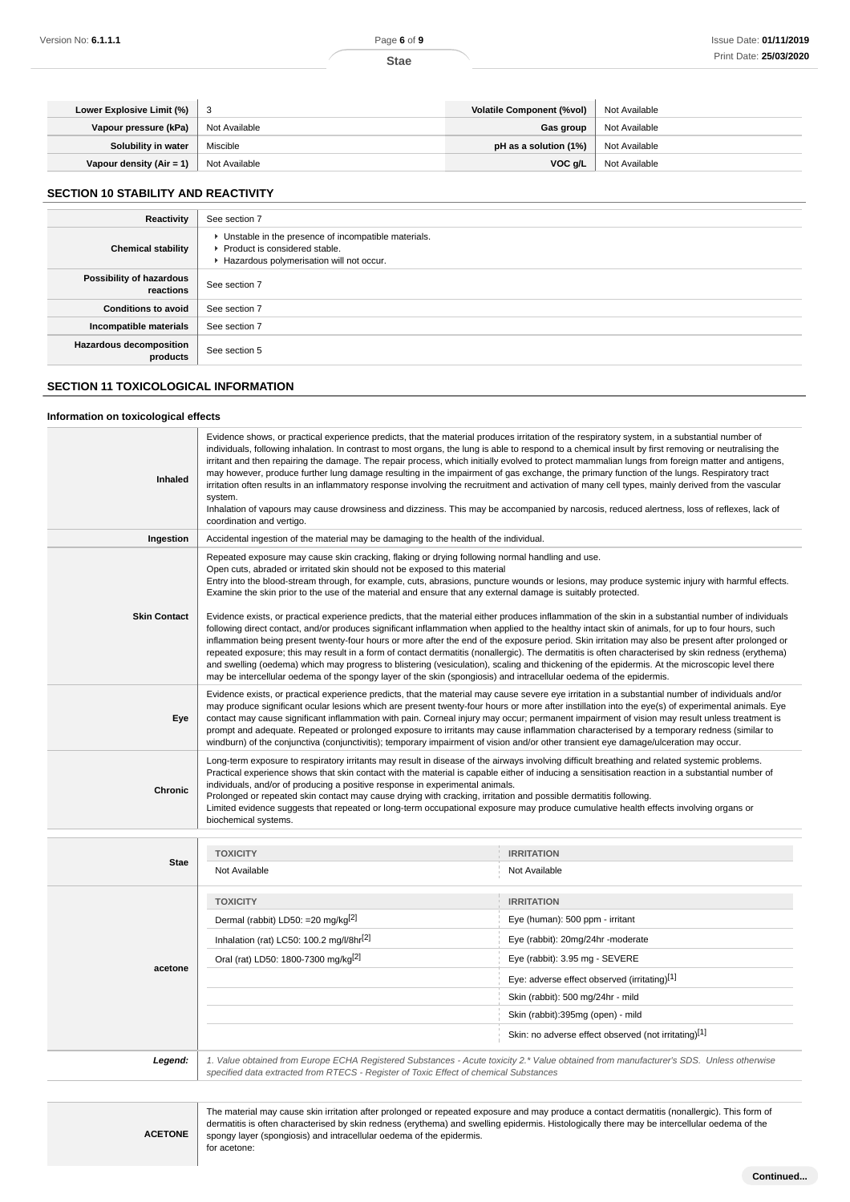| Lower Explosive Limit (%)  | - 3           | <b>Volatile Component (%vol)</b> | Not Available |
|----------------------------|---------------|----------------------------------|---------------|
| Vapour pressure (kPa)      | Not Available | Gas group                        | Not Available |
| Solubility in water        | Miscible      | pH as a solution (1%)            | Not Available |
| Vapour density $(Air = 1)$ | Not Available | VOC a/L                          | Not Available |

# **SECTION 10 STABILITY AND REACTIVITY**

| Reactivity                            | See section 7                                                                                                                        |
|---------------------------------------|--------------------------------------------------------------------------------------------------------------------------------------|
| <b>Chemical stability</b>             | • Unstable in the presence of incompatible materials.<br>▶ Product is considered stable.<br>Hazardous polymerisation will not occur. |
| Possibility of hazardous<br>reactions | See section 7                                                                                                                        |
| <b>Conditions to avoid</b>            | See section 7                                                                                                                        |
| Incompatible materials                | See section 7                                                                                                                        |
| Hazardous decomposition<br>products   | See section 5                                                                                                                        |

# **SECTION 11 TOXICOLOGICAL INFORMATION**

# **Information on toxicological effects**

| Inhaled             | Evidence shows, or practical experience predicts, that the material produces irritation of the respiratory system, in a substantial number of<br>individuals, following inhalation. In contrast to most organs, the lung is able to respond to a chemical insult by first removing or neutralising the<br>irritant and then repairing the damage. The repair process, which initially evolved to protect mammalian lungs from foreign matter and antigens,<br>may however, produce further lung damage resulting in the impairment of gas exchange, the primary function of the lungs. Respiratory tract<br>irritation often results in an inflammatory response involving the recruitment and activation of many cell types, mainly derived from the vascular<br>system.<br>Inhalation of vapours may cause drowsiness and dizziness. This may be accompanied by narcosis, reduced alertness, loss of reflexes, lack of<br>coordination and vertigo. |                                                                                                                                              |  |  |
|---------------------|-------------------------------------------------------------------------------------------------------------------------------------------------------------------------------------------------------------------------------------------------------------------------------------------------------------------------------------------------------------------------------------------------------------------------------------------------------------------------------------------------------------------------------------------------------------------------------------------------------------------------------------------------------------------------------------------------------------------------------------------------------------------------------------------------------------------------------------------------------------------------------------------------------------------------------------------------------|----------------------------------------------------------------------------------------------------------------------------------------------|--|--|
| Ingestion           | Accidental ingestion of the material may be damaging to the health of the individual.                                                                                                                                                                                                                                                                                                                                                                                                                                                                                                                                                                                                                                                                                                                                                                                                                                                                 |                                                                                                                                              |  |  |
|                     | Repeated exposure may cause skin cracking, flaking or drying following normal handling and use.<br>Open cuts, abraded or irritated skin should not be exposed to this material<br>Entry into the blood-stream through, for example, cuts, abrasions, puncture wounds or lesions, may produce systemic injury with harmful effects.<br>Examine the skin prior to the use of the material and ensure that any external damage is suitably protected.                                                                                                                                                                                                                                                                                                                                                                                                                                                                                                    |                                                                                                                                              |  |  |
| <b>Skin Contact</b> | Evidence exists, or practical experience predicts, that the material either produces inflammation of the skin in a substantial number of individuals<br>following direct contact, and/or produces significant inflammation when applied to the healthy intact skin of animals, for up to four hours, such<br>inflammation being present twenty-four hours or more after the end of the exposure period. Skin irritation may also be present after prolonged or<br>repeated exposure; this may result in a form of contact dermatitis (nonallergic). The dermatitis is often characterised by skin redness (erythema)<br>and swelling (oedema) which may progress to blistering (vesiculation), scaling and thickening of the epidermis. At the microscopic level there<br>may be intercellular oedema of the spongy layer of the skin (spongiosis) and intracellular oedema of the epidermis.                                                         |                                                                                                                                              |  |  |
| Eye                 | Evidence exists, or practical experience predicts, that the material may cause severe eye irritation in a substantial number of individuals and/or<br>may produce significant ocular lesions which are present twenty-four hours or more after instillation into the eye(s) of experimental animals. Eye<br>contact may cause significant inflammation with pain. Corneal injury may occur; permanent impairment of vision may result unless treatment is<br>prompt and adequate. Repeated or prolonged exposure to irritants may cause inflammation characterised by a temporary redness (similar to<br>windburn) of the conjunctiva (conjunctivitis); temporary impairment of vision and/or other transient eye damage/ulceration may occur.                                                                                                                                                                                                        |                                                                                                                                              |  |  |
| Chronic             | Long-term exposure to respiratory irritants may result in disease of the airways involving difficult breathing and related systemic problems.<br>Practical experience shows that skin contact with the material is capable either of inducing a sensitisation reaction in a substantial number of<br>individuals, and/or of producing a positive response in experimental animals.<br>Prolonged or repeated skin contact may cause drying with cracking, irritation and possible dermatitis following.<br>Limited evidence suggests that repeated or long-term occupational exposure may produce cumulative health effects involving organs or<br>biochemical systems.                                                                                                                                                                                                                                                                                |                                                                                                                                              |  |  |
|                     | <b>TOXICITY</b>                                                                                                                                                                                                                                                                                                                                                                                                                                                                                                                                                                                                                                                                                                                                                                                                                                                                                                                                       | <b>IRRITATION</b>                                                                                                                            |  |  |
| <b>Stae</b>         | Not Available                                                                                                                                                                                                                                                                                                                                                                                                                                                                                                                                                                                                                                                                                                                                                                                                                                                                                                                                         | Not Available                                                                                                                                |  |  |
|                     | <b>TOXICITY</b>                                                                                                                                                                                                                                                                                                                                                                                                                                                                                                                                                                                                                                                                                                                                                                                                                                                                                                                                       | <b>IRRITATION</b>                                                                                                                            |  |  |
|                     | Dermal (rabbit) LD50: = 20 mg/kg <sup>[2]</sup>                                                                                                                                                                                                                                                                                                                                                                                                                                                                                                                                                                                                                                                                                                                                                                                                                                                                                                       | Eye (human): 500 ppm - irritant                                                                                                              |  |  |
|                     | Inhalation (rat) LC50: 100.2 mg/l/8hr <sup>[2]</sup>                                                                                                                                                                                                                                                                                                                                                                                                                                                                                                                                                                                                                                                                                                                                                                                                                                                                                                  | Eye (rabbit): 20mg/24hr -moderate                                                                                                            |  |  |
|                     | Oral (rat) LD50: 1800-7300 mg/kg <sup>[2]</sup>                                                                                                                                                                                                                                                                                                                                                                                                                                                                                                                                                                                                                                                                                                                                                                                                                                                                                                       | Eye (rabbit): 3.95 mg - SEVERE                                                                                                               |  |  |
| acetone             |                                                                                                                                                                                                                                                                                                                                                                                                                                                                                                                                                                                                                                                                                                                                                                                                                                                                                                                                                       | Eye: adverse effect observed (irritating)[1]                                                                                                 |  |  |
|                     |                                                                                                                                                                                                                                                                                                                                                                                                                                                                                                                                                                                                                                                                                                                                                                                                                                                                                                                                                       | Skin (rabbit): 500 mg/24hr - mild                                                                                                            |  |  |
|                     |                                                                                                                                                                                                                                                                                                                                                                                                                                                                                                                                                                                                                                                                                                                                                                                                                                                                                                                                                       | Skin (rabbit):395mg (open) - mild                                                                                                            |  |  |
|                     |                                                                                                                                                                                                                                                                                                                                                                                                                                                                                                                                                                                                                                                                                                                                                                                                                                                                                                                                                       | Skin: no adverse effect observed (not irritating)[1]                                                                                         |  |  |
| Legend:             | specified data extracted from RTECS - Register of Toxic Effect of chemical Substances                                                                                                                                                                                                                                                                                                                                                                                                                                                                                                                                                                                                                                                                                                                                                                                                                                                                 | 1. Value obtained from Europe ECHA Registered Substances - Acute toxicity 2.* Value obtained from manufacturer's SDS. Unless otherwise       |  |  |
|                     |                                                                                                                                                                                                                                                                                                                                                                                                                                                                                                                                                                                                                                                                                                                                                                                                                                                                                                                                                       |                                                                                                                                              |  |  |
|                     |                                                                                                                                                                                                                                                                                                                                                                                                                                                                                                                                                                                                                                                                                                                                                                                                                                                                                                                                                       | The material may cause skin irritation after prolonged or repeated exposure and may produce a contact dermatitis (nonallergic). This form of |  |  |

**ACETONE**

dermatitis is often characterised by skin redness (erythema) and swelling epidermis. Histologically there may be intercellular oedema of the spongy layer (spongiosis) and intracellular oedema of the epidermis. for acetone: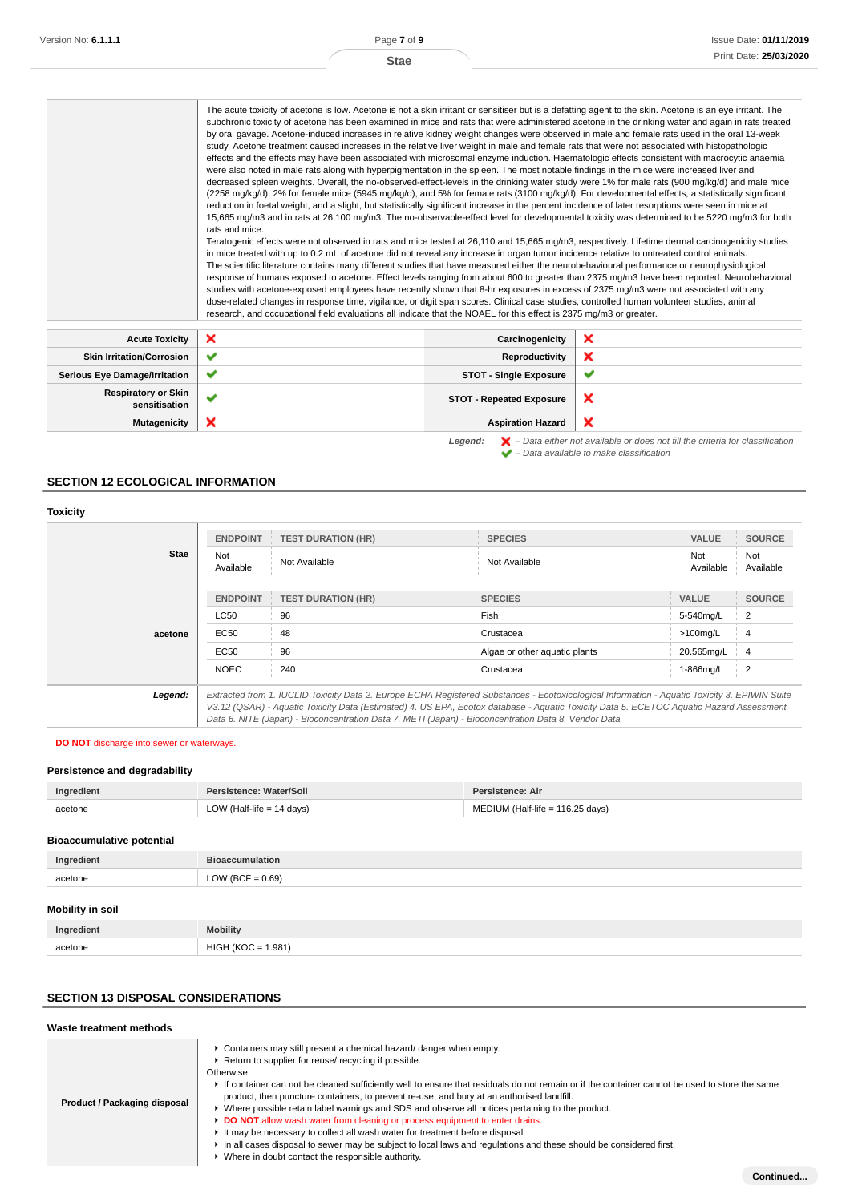The acute toxicity of acetone is low. Acetone is not a skin irritant or sensitiser but is a defatting agent to the skin. Acetone is an eye irritant. The subchronic toxicity of acetone has been examined in mice and rats that were administered acetone in the drinking water and again in rats treated by oral gavage. Acetone-induced increases in relative kidney weight changes were observed in male and female rats used in the oral 13-week study. Acetone treatment caused increases in the relative liver weight in male and female rats that were not associated with histopathologic effects and the effects may have been associated with microsomal enzyme induction. Haematologic effects consistent with macrocytic anaemia were also noted in male rats along with hyperpigmentation in the spleen. The most notable findings in the mice were increased liver and decreased spleen weights. Overall, the no-observed-effect-levels in the drinking water study were 1% for male rats (900 mg/kg/d) and male mice (2258 mg/kg/d), 2% for female mice (5945 mg/kg/d), and 5% for female rats (3100 mg/kg/d). For developmental effects, a statistically significant reduction in foetal weight, and a slight, but statistically significant increase in the percent incidence of later resorptions were seen in mice at 15,665 mg/m3 and in rats at 26,100 mg/m3. The no-observable-effect level for developmental toxicity was determined to be 5220 mg/m3 for both rats and mice.

Teratogenic effects were not observed in rats and mice tested at 26,110 and 15,665 mg/m3, respectively. Lifetime dermal carcinogenicity studies in mice treated with up to 0.2 mL of acetone did not reveal any increase in organ tumor incidence relative to untreated control animals. The scientific literature contains many different studies that have measured either the neurobehavioural performance or neurophysiological response of humans exposed to acetone. Effect levels ranging from about 600 to greater than 2375 mg/m3 have been reported. Neurobehavioral studies with acetone-exposed employees have recently shown that 8-hr exposures in excess of 2375 mg/m3 were not associated with any dose-related changes in response time, vigilance, or digit span scores. Clinical case studies, controlled human volunteer studies, animal research, and occupational field evaluations all indicate that the NOAEL for this effect is 2375 mg/m3 or greater.

| ×<br><b>Skin Irritation/Corrosion</b><br>Reproductivity<br>$\checkmark$<br><b>STOT - Single Exposure</b><br><b>Serious Eye Damage/Irritation</b><br>$\checkmark$<br>$\checkmark$<br><b>Respiratory or Skin</b> | Acute Toxicity | <b>x</b> | Carcinogenicity                 | × |
|----------------------------------------------------------------------------------------------------------------------------------------------------------------------------------------------------------------|----------------|----------|---------------------------------|---|
|                                                                                                                                                                                                                |                |          |                                 |   |
|                                                                                                                                                                                                                |                |          |                                 |   |
|                                                                                                                                                                                                                | sensitisation  |          | <b>STOT - Repeated Exposure</b> | × |
| ×<br>×<br><b>Aspiration Hazard</b><br><b>Mutagenicity</b>                                                                                                                                                      |                |          |                                 |   |

**Legend:**  $\mathbf{X}$  – Data either not available or does not fill the criteria for classification – Data available to make classification

### **SECTION 12 ECOLOGICAL INFORMATION**

#### **Toxicity**

| Stae    | <b>ENDPOINT</b><br>Not<br>Available                                                                                                                                                                                                                                                                                                                                                             | <b>TEST DURATION (HR)</b><br>Not Available | <b>SPECIES</b><br>Not Available            | <b>VALUE</b><br>Not<br>Available         | <b>SOURCE</b><br>Not<br>Available    |
|---------|-------------------------------------------------------------------------------------------------------------------------------------------------------------------------------------------------------------------------------------------------------------------------------------------------------------------------------------------------------------------------------------------------|--------------------------------------------|--------------------------------------------|------------------------------------------|--------------------------------------|
| acetone | <b>ENDPOINT</b><br><b>LC50</b><br>EC50                                                                                                                                                                                                                                                                                                                                                          | <b>TEST DURATION (HR)</b><br>96<br>48      | <b>SPECIES</b><br>Fish<br>Crustacea        | <b>VALUE</b><br>5-540mg/L<br>$>100$ mg/L | <b>SOURCE</b><br>$\overline{2}$<br>4 |
|         | EC50<br><b>NOEC</b>                                                                                                                                                                                                                                                                                                                                                                             | 96<br>240                                  | Algae or other aquatic plants<br>Crustacea | 20.565mg/L<br>1-866mg/L                  | $\overline{4}$<br>$\overline{2}$     |
| Legend: | Extracted from 1. IUCLID Toxicity Data 2. Europe ECHA Registered Substances - Ecotoxicological Information - Aquatic Toxicity 3. EPIWIN Suite<br>V3.12 (QSAR) - Aquatic Toxicity Data (Estimated) 4. US EPA, Ecotox database - Aquatic Toxicity Data 5. ECETOC Aquatic Hazard Assessment<br>Data 6. NITE (Japan) - Bioconcentration Data 7. METI (Japan) - Bioconcentration Data 8. Vendor Data |                                            |                                            |                                          |                                      |

#### **DO NOT** discharge into sewer or waterways.

#### **Persistence and degradability**

| Ingradiar    | Vater/Soil            | tence: Air             |
|--------------|-----------------------|------------------------|
| acetone<br>. | LOV<br>davs)<br>-lite | 116.25 days)<br>۱۴۵–۰، |

#### **Bioaccumulative potential**

| Ingredient | <b>Bioaccumulation</b> |
|------------|------------------------|
| acetone    | LOW (BCF = $0.69$ )    |
|            |                        |

# **Mobility in soil**

| Ingredient   | <b>Mobility</b>                      |
|--------------|--------------------------------------|
| acetone<br>. | $\mathbf{H}$<br>.981'<br>. .<br>$ -$ |

## **SECTION 13 DISPOSAL CONSIDERATIONS**

| Waste treatment methods      |                                                                                                                                                                                                                                                                                                                                                                                                                                                                                                                                                                                                                                                                                                                                                                                                                                            |
|------------------------------|--------------------------------------------------------------------------------------------------------------------------------------------------------------------------------------------------------------------------------------------------------------------------------------------------------------------------------------------------------------------------------------------------------------------------------------------------------------------------------------------------------------------------------------------------------------------------------------------------------------------------------------------------------------------------------------------------------------------------------------------------------------------------------------------------------------------------------------------|
| Product / Packaging disposal | • Containers may still present a chemical hazard/ danger when empty.<br>▶ Return to supplier for reuse/ recycling if possible.<br>Otherwise:<br>If container can not be cleaned sufficiently well to ensure that residuals do not remain or if the container cannot be used to store the same<br>product, then puncture containers, to prevent re-use, and bury at an authorised landfill.<br>► Where possible retain label warnings and SDS and observe all notices pertaining to the product.<br>DO NOT allow wash water from cleaning or process equipment to enter drains.<br>It may be necessary to collect all wash water for treatment before disposal.<br>In all cases disposal to sewer may be subject to local laws and regulations and these should be considered first.<br>• Where in doubt contact the responsible authority. |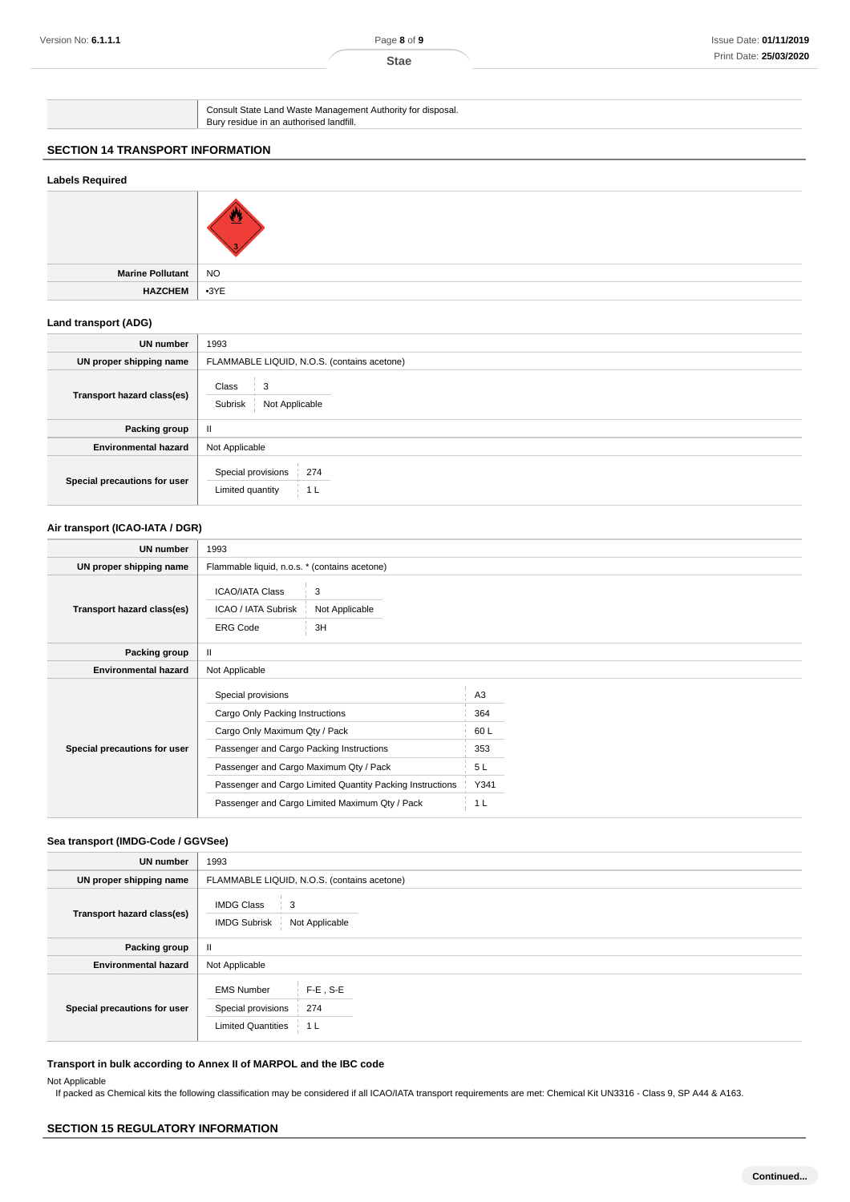Consult State Land Waste Management Authority for disposal. Bury residue in an authorised landfill.

# **SECTION 14 TRANSPORT INFORMATION**

## **Labels Required**



**Marine Pollutant** NO **HAZCHEM** •3YE

### **Land transport (ADG)**

| UN number                    | 1993                                                            |  |  |  |
|------------------------------|-----------------------------------------------------------------|--|--|--|
| UN proper shipping name      | FLAMMABLE LIQUID, N.O.S. (contains acetone)                     |  |  |  |
| Transport hazard class(es)   | Class<br>3<br>Not Applicable<br>Subrisk                         |  |  |  |
| Packing group                | Ш                                                               |  |  |  |
| <b>Environmental hazard</b>  | Not Applicable                                                  |  |  |  |
| Special precautions for user | Special provisions<br>274<br>Limited quantity<br>1 <sub>L</sub> |  |  |  |

#### **Air transport (ICAO-IATA / DGR)**

| <b>UN number</b>             | 1993                                                                                                                                                                                                                                                                                        |                                                                     |  |
|------------------------------|---------------------------------------------------------------------------------------------------------------------------------------------------------------------------------------------------------------------------------------------------------------------------------------------|---------------------------------------------------------------------|--|
| UN proper shipping name      | Flammable liquid, n.o.s. * (contains acetone)                                                                                                                                                                                                                                               |                                                                     |  |
| Transport hazard class(es)   | <b>ICAO/IATA Class</b><br>3<br>ICAO / IATA Subrisk<br>Not Applicable<br>3H<br><b>ERG Code</b>                                                                                                                                                                                               |                                                                     |  |
| Packing group                | $\mathbf{H}$                                                                                                                                                                                                                                                                                |                                                                     |  |
| <b>Environmental hazard</b>  | Not Applicable                                                                                                                                                                                                                                                                              |                                                                     |  |
| Special precautions for user | Special provisions<br>Cargo Only Packing Instructions<br>Cargo Only Maximum Qty / Pack<br>Passenger and Cargo Packing Instructions<br>Passenger and Cargo Maximum Qty / Pack<br>Passenger and Cargo Limited Quantity Packing Instructions<br>Passenger and Cargo Limited Maximum Qty / Pack | A <sub>3</sub><br>364<br>60L<br>353<br>5L<br>Y341<br>1 <sub>L</sub> |  |

### **Sea transport (IMDG-Code / GGVSee)**

| UN number                    | 1993                                                                                                         |  |  |
|------------------------------|--------------------------------------------------------------------------------------------------------------|--|--|
| UN proper shipping name      | FLAMMABLE LIQUID, N.O.S. (contains acetone)                                                                  |  |  |
| Transport hazard class(es)   | <b>IMDG Class</b><br>3<br><b>IMDG Subrisk</b><br>Not Applicable                                              |  |  |
| Packing group                | $\mathbf{I}$                                                                                                 |  |  |
| <b>Environmental hazard</b>  | Not Applicable                                                                                               |  |  |
| Special precautions for user | <b>EMS Number</b><br>$F-E$ , S-E<br>Special provisions<br>274<br><b>Limited Quantities</b><br>1 <sub>L</sub> |  |  |

## **Transport in bulk according to Annex II of MARPOL and the IBC code**

### Not Applicable

If packed as Chemical kits the following classification may be considered if all ICAO/IATA transport requirements are met: Chemical Kit UN3316 - Class 9, SP A44 & A163.